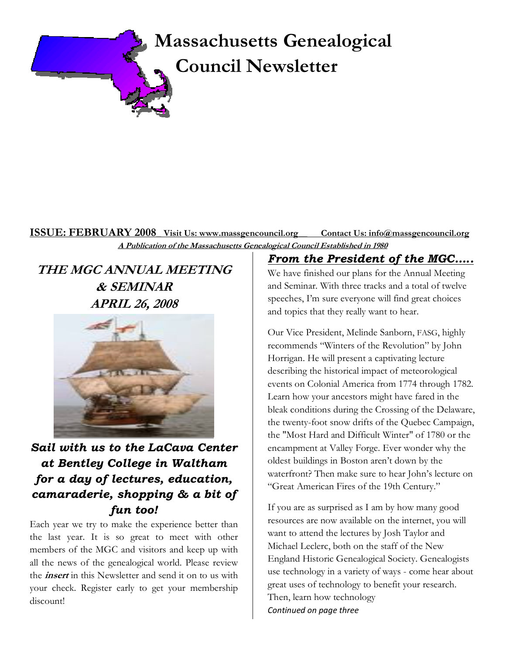

### ISSUE: FEBRUARY 2008\_ Visit Us: www.massgencouncil.org\_\_ Contact Us: info@massgencouncil.org A Publication of the Massachusetts Genealogical Council Established in 1980

THE MGC ANNUAL MEETING & SEMINAR APRIL 26, 2008



# Sail with us to the LaCava Center at Bentley College in Waltham for a day of lectures, education, camaraderie, shopping & a bit of fun too!

Each year we try to make the experience better than the last year. It is so great to meet with other members of the MGC and visitors and keep up with all the news of the genealogical world. Please review the *insert* in this Newsletter and send it on to us with your check. Register early to get your membership discount!

From the President of the MGC…..

We have finished our plans for the Annual Meeting and Seminar. With three tracks and a total of twelve speeches, I'm sure everyone will find great choices and topics that they really want to hear.

Our Vice President, Melinde Sanborn, FASG, highly recommends "Winters of the Revolution" by John Horrigan. He will present a captivating lecture describing the historical impact of meteorological events on Colonial America from 1774 through 1782. Learn how your ancestors might have fared in the bleak conditions during the Crossing of the Delaware, the twenty-foot snow drifts of the Quebec Campaign, the "Most Hard and Difficult Winter" of 1780 or the encampment at Valley Forge. Ever wonder why the oldest buildings in Boston aren't down by the waterfront? Then make sure to hear John's lecture on "Great American Fires of the 19th Century."

If you are as surprised as I am by how many good resources are now available on the internet, you will want to attend the lectures by Josh Taylor and Michael Leclerc, both on the staff of the New England Historic Genealogical Society. Genealogists use technology in a variety of ways - come hear about great uses of technology to benefit your research. Then, learn how technology Continued on page three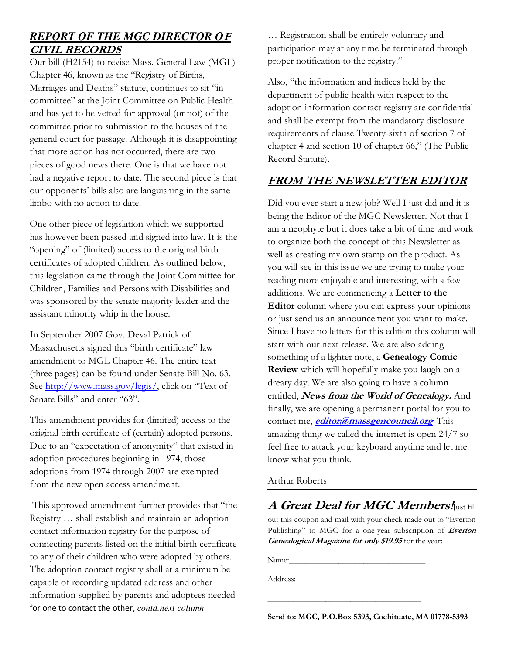# *REPORT OF THE MGC DIRECTOR O*<sup>F</sup> CIVIL RECORDS

Our bill (H2154) to revise Mass. General Law (MGL) Chapter 46, known as the "Registry of Births, Marriages and Deaths" statute, continues to sit "in committee" at the Joint Committee on Public Health and has yet to be vetted for approval (or not) of the committee prior to submission to the houses of the general court for passage. Although it is disappointing that more action has not occurred, there are two pieces of good news there. One is that we have not had a negative report to date. The second piece is that our opponents' bills also are languishing in the same limbo with no action to date.

One other piece of legislation which we supported has however been passed and signed into law. It is the "opening" of (limited) access to the original birth certificates of adopted children. As outlined below, this legislation came through the Joint Committee for Children, Families and Persons with Disabilities and was sponsored by the senate majority leader and the assistant minority whip in the house.

In September 2007 Gov. Deval Patrick of Massachusetts signed this "birth certificate" law amendment to MGL Chapter 46. The entire text (three pages) can be found under Senate Bill No. 63. See http://www.mass.gov/legis/, click on "Text of Senate Bills" and enter "63".

This amendment provides for (limited) access to the original birth certificate of (certain) adopted persons. Due to an "expectation of anonymity" that existed in adoption procedures beginning in 1974, those adoptions from 1974 through 2007 are exempted from the new open access amendment.

 This approved amendment further provides that "the Registry … shall establish and maintain an adoption contact information registry for the purpose of connecting parents listed on the initial birth certificate to any of their children who were adopted by others. The adoption contact registry shall at a minimum be capable of recording updated address and other information supplied by parents and adoptees needed for one to contact the other, *contd.next column* 

… Registration shall be entirely voluntary and participation may at any time be terminated through proper notification to the registry."

Also, "the information and indices held by the department of public health with respect to the adoption information contact registry are confidential and shall be exempt from the mandatory disclosure requirements of clause Twenty-sixth of section 7 of chapter 4 and section 10 of chapter 66," (The Public Record Statute).

### FROM THE NEWSLETTER EDITOR

Did you ever start a new job? Well I just did and it is being the Editor of the MGC Newsletter. Not that I am a neophyte but it does take a bit of time and work to organize both the concept of this Newsletter as well as creating my own stamp on the product. As you will see in this issue we are trying to make your reading more enjoyable and interesting, with a few additions. We are commencing a Letter to the Editor column where you can express your opinions or just send us an announcement you want to make. Since I have no letters for this edition this column will start with our next release. We are also adding something of a lighter note, a Genealogy Comic Review which will hopefully make you laugh on a dreary day. We are also going to have a column entitled, News from the World of Genealogy. And finally, we are opening a permanent portal for you to contact me, *editor@massgencouncil.org* This amazing thing we called the internet is open 24/7 so feel free to attack your keyboard anytime and let me know what you think.

Arthur Roberts

A Great Deal for MGC Members. Just fill out this coupon and mail with your check made out to "Everton Publishing" to MGC for a one-year subscription of Everton Genealogical Magazine for only \$19.95 for the year:

Name:

Address:

Send to: MGC, P.O.Box 5393, Cochituate, MA 01778-5393

\_\_\_\_\_\_\_\_\_\_\_\_\_\_\_\_\_\_\_\_\_\_\_\_\_\_\_\_\_\_\_\_\_\_\_\_\_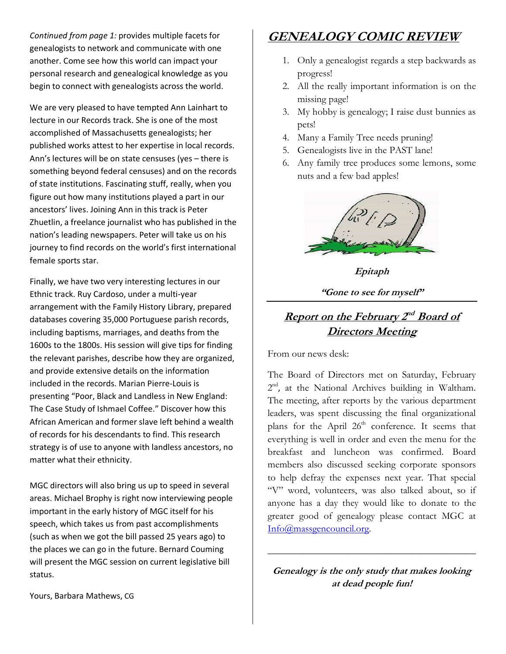Continued from page 1: provides multiple facets for genealogists to network and communicate with one another. Come see how this world can impact your personal research and genealogical knowledge as you begin to connect with genealogists across the world.

We are very pleased to have tempted Ann Lainhart to lecture in our Records track. She is one of the most accomplished of Massachusetts genealogists; her published works attest to her expertise in local records. Ann's lectures will be on state censuses (yes – there is something beyond federal censuses) and on the records of state institutions. Fascinating stuff, really, when you figure out how many institutions played a part in our ancestors' lives. Joining Ann in this track is Peter Zhuetlin, a freelance journalist who has published in the nation's leading newspapers. Peter will take us on his journey to find records on the world's first international female sports star.

Finally, we have two very interesting lectures in our Ethnic track. Ruy Cardoso, under a multi-year arrangement with the Family History Library, prepared databases covering 35,000 Portuguese parish records, including baptisms, marriages, and deaths from the 1600s to the 1800s. His session will give tips for finding the relevant parishes, describe how they are organized, and provide extensive details on the information included in the records. Marian Pierre-Louis is presenting "Poor, Black and Landless in New England: The Case Study of Ishmael Coffee." Discover how this African American and former slave left behind a wealth of records for his descendants to find. This research strategy is of use to anyone with landless ancestors, no matter what their ethnicity.

MGC directors will also bring us up to speed in several areas. Michael Brophy is right now interviewing people important in the early history of MGC itself for his speech, which takes us from past accomplishments (such as when we got the bill passed 25 years ago) to the places we can go in the future. Bernard Couming will present the MGC session on current legislative bill status.

GENEALOGY COMIC REVIEW

- 1. Only a genealogist regards a step backwards as progress!
- 2. All the really important information is on the missing page!
- 3. My hobby is genealogy; I raise dust bunnies as pets!
- 4. Many a Family Tree needs pruning!
- 5. Genealogists live in the PAST lane!
- 6. Any family tree produces some lemons, some nuts and a few bad apples!



Epitaph

"Gone to see for myself"

# Report on the February 2<sup>nd</sup> Board of **Directors Meeting**

From our news desk:

The Board of Directors met on Saturday, February 2<sup>nd</sup>, at the National Archives building in Waltham. The meeting, after reports by the various department leaders, was spent discussing the final organizational plans for the April  $26<sup>th</sup>$  conference. It seems that everything is well in order and even the menu for the breakfast and luncheon was confirmed. Board members also discussed seeking corporate sponsors to help defray the expenses next year. That special "V" word, volunteers, was also talked about, so if anyone has a day they would like to donate to the greater good of genealogy please contact MGC at Info@massgencouncil.org.

Genealogy is the only study that makes looking at dead people fun!

\_\_\_\_\_\_\_\_\_\_\_\_\_\_\_\_\_\_\_\_\_\_\_\_\_\_\_\_\_\_\_\_\_\_\_\_\_\_\_\_\_\_

Yours, Barbara Mathews, CG